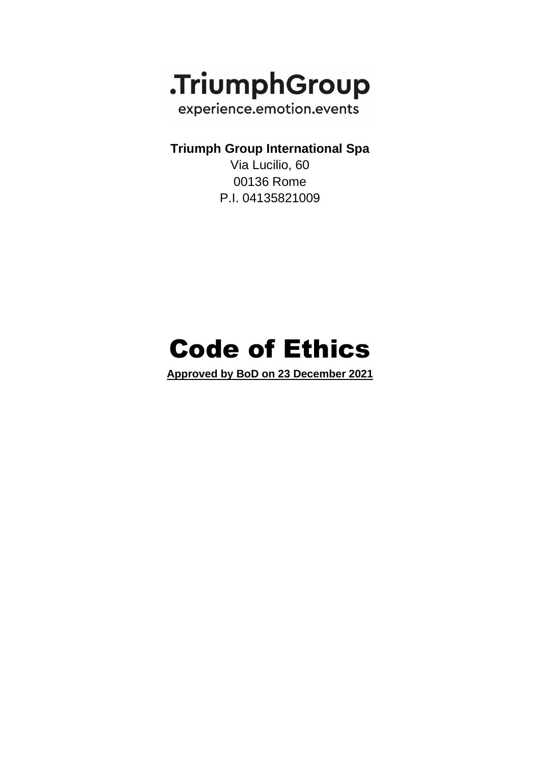

**Triumph Group International Spa**

Via Lucilio, 60 00136 Rome P.I. 04135821009

# Code of Ethics

**Approved by BoD on 23 December 2021**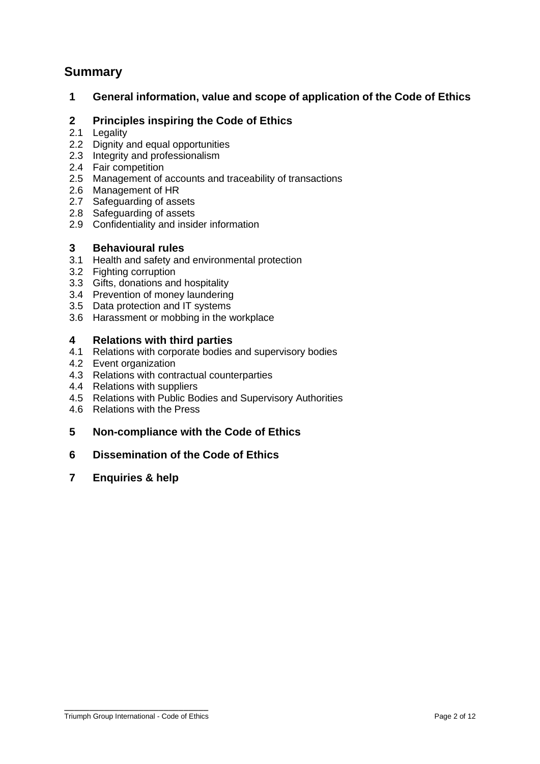# **Summary**

## **1 General information, value and scope of application of the Code of Ethics**

## **2 Principles inspiring the Code of Ethics**

- 2.1 Legality
- 2.2 Dignity and equal opportunities
- 2.3 Integrity and professionalism
- 2.4 Fair competition
- 2.5 Management of accounts and traceability of transactions
- 2.6 Management of HR
- 2.7 Safeguarding of assets
- 2.8 Safeguarding of assets
- 2.9 Confidentiality and insider information

## **3 Behavioural rules**

- 3.1 Health and safety and environmental protection
- 3.2 Fighting corruption
- 3.3 Gifts, donations and hospitality
- 3.4 Prevention of money laundering
- 3.5 Data protection and IT systems
- 3.6 Harassment or mobbing in the workplace

## **4 Relations with third parties**

- 4.1 Relations with corporate bodies and supervisory bodies
- 4.2 Event organization
- 4.3 Relations with contractual counterparties
- 4.4 Relations with suppliers
- 4.5 Relations with Public Bodies and Supervisory Authorities
- 4.6 Relations with the Press

## **5 Non-compliance with the Code of Ethics**

## **6 Dissemination of the Code of Ethics**

**7 Enquiries & help**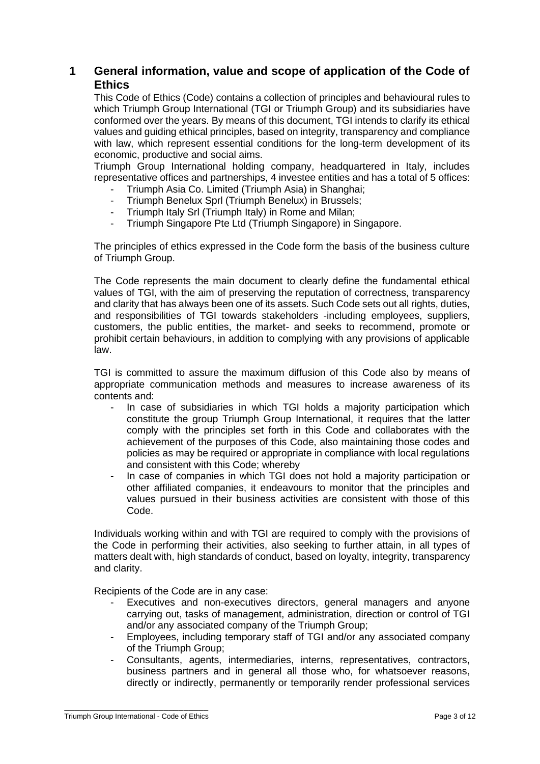# **1 General information, value and scope of application of the Code of Ethics**

This Code of Ethics (Code) contains a collection of principles and behavioural rules to which Triumph Group International (TGI or Triumph Group) and its subsidiaries have conformed over the years. By means of this document, TGI intends to clarify its ethical values and guiding ethical principles, based on integrity, transparency and compliance with law, which represent essential conditions for the long-term development of its economic, productive and social aims.

Triumph Group International holding company, headquartered in Italy, includes representative offices and partnerships, 4 investee entities and has a total of 5 offices:

- Triumph Asia Co. Limited (Triumph Asia) in Shanghai;
- Triumph Benelux Sprl (Triumph Benelux) in Brussels;
- Triumph Italy Srl (Triumph Italy) in Rome and Milan:
- Triumph Singapore Pte Ltd (Triumph Singapore) in Singapore.

The principles of ethics expressed in the Code form the basis of the business culture of Triumph Group.

The Code represents the main document to clearly define the fundamental ethical values of TGI, with the aim of preserving the reputation of correctness, transparency and clarity that has always been one of its assets. Such Code sets out all rights, duties, and responsibilities of TGI towards stakeholders -including employees, suppliers, customers, the public entities, the market- and seeks to recommend, promote or prohibit certain behaviours, in addition to complying with any provisions of applicable law.

TGI is committed to assure the maximum diffusion of this Code also by means of appropriate communication methods and measures to increase awareness of its contents and:

- In case of subsidiaries in which TGI holds a majority participation which constitute the group Triumph Group International, it requires that the latter comply with the principles set forth in this Code and collaborates with the achievement of the purposes of this Code, also maintaining those codes and policies as may be required or appropriate in compliance with local regulations and consistent with this Code; whereby
- In case of companies in which TGI does not hold a majority participation or other affiliated companies, it endeavours to monitor that the principles and values pursued in their business activities are consistent with those of this Code.

Individuals working within and with TGI are required to comply with the provisions of the Code in performing their activities, also seeking to further attain, in all types of matters dealt with, high standards of conduct, based on loyalty, integrity, transparency and clarity.

Recipients of the Code are in any case:

- Executives and non-executives directors, general managers and anyone carrying out, tasks of management, administration, direction or control of TGI and/or any associated company of the Triumph Group;
- Employees, including temporary staff of TGI and/or any associated company of the Triumph Group;
- Consultants, agents, intermediaries, interns, representatives, contractors, business partners and in general all those who, for whatsoever reasons, directly or indirectly, permanently or temporarily render professional services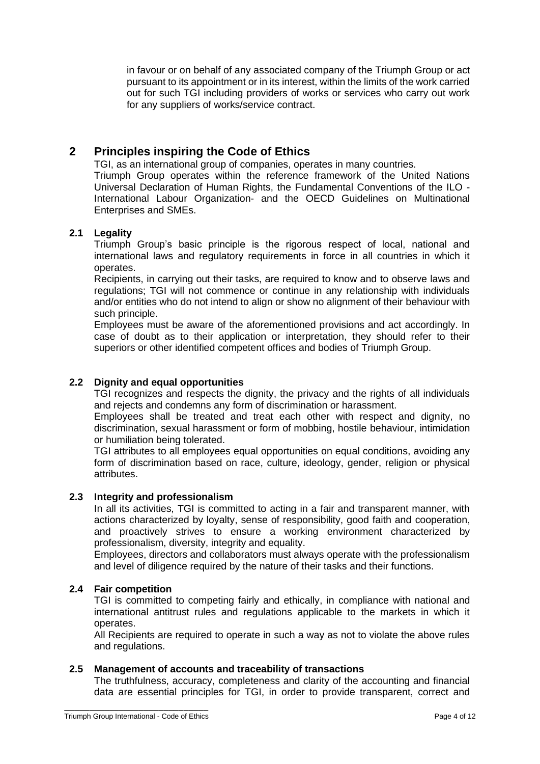in favour or on behalf of any associated company of the Triumph Group or act pursuant to its appointment or in its interest, within the limits of the work carried out for such TGI including providers of works or services who carry out work for any suppliers of works/service contract.

# **2 Principles inspiring the Code of Ethics**

TGI, as an international group of companies, operates in many countries. Triumph Group operates within the reference framework of the United Nations

Universal Declaration of Human Rights, the Fundamental Conventions of the ILO - International Labour Organization- and the OECD Guidelines on Multinational Enterprises and SMEs.

## **2.1 Legality**

Triumph Group's basic principle is the rigorous respect of local, national and international laws and regulatory requirements in force in all countries in which it operates.

Recipients, in carrying out their tasks, are required to know and to observe laws and regulations; TGI will not commence or continue in any relationship with individuals and/or entities who do not intend to align or show no alignment of their behaviour with such principle.

Employees must be aware of the aforementioned provisions and act accordingly. In case of doubt as to their application or interpretation, they should refer to their superiors or other identified competent offices and bodies of Triumph Group.

## **2.2 Dignity and equal opportunities**

TGI recognizes and respects the dignity, the privacy and the rights of all individuals and rejects and condemns any form of discrimination or harassment.

Employees shall be treated and treat each other with respect and dignity, no discrimination, sexual harassment or form of mobbing, hostile behaviour, intimidation or humiliation being tolerated.

TGI attributes to all employees equal opportunities on equal conditions, avoiding any form of discrimination based on race, culture, ideology, gender, religion or physical attributes.

## **2.3 Integrity and professionalism**

In all its activities, TGI is committed to acting in a fair and transparent manner, with actions characterized by loyalty, sense of responsibility, good faith and cooperation, and proactively strives to ensure a working environment characterized by professionalism, diversity, integrity and equality.

Employees, directors and collaborators must always operate with the professionalism and level of diligence required by the nature of their tasks and their functions.

## **2.4 Fair competition**

TGI is committed to competing fairly and ethically, in compliance with national and international antitrust rules and regulations applicable to the markets in which it operates.

All Recipients are required to operate in such a way as not to violate the above rules and regulations.

## **2.5 Management of accounts and traceability of transactions**

The truthfulness, accuracy, completeness and clarity of the accounting and financial data are essential principles for TGI, in order to provide transparent, correct and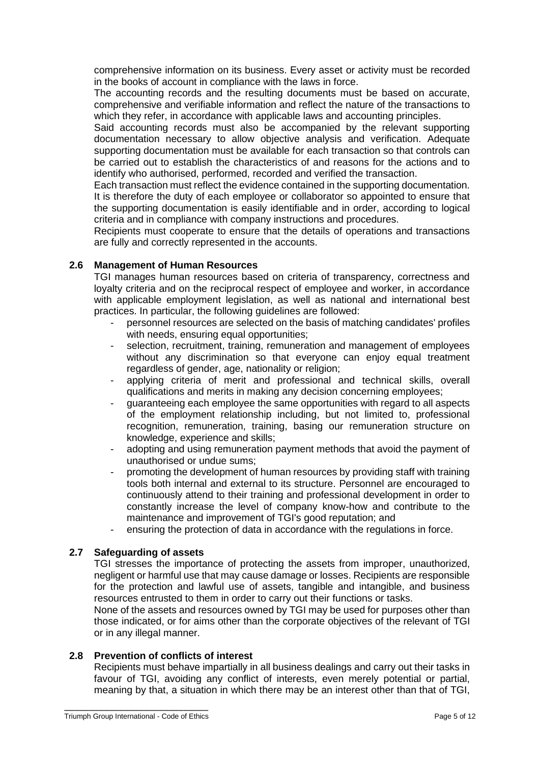comprehensive information on its business. Every asset or activity must be recorded in the books of account in compliance with the laws in force.

The accounting records and the resulting documents must be based on accurate, comprehensive and verifiable information and reflect the nature of the transactions to which they refer, in accordance with applicable laws and accounting principles.

Said accounting records must also be accompanied by the relevant supporting documentation necessary to allow objective analysis and verification. Adequate supporting documentation must be available for each transaction so that controls can be carried out to establish the characteristics of and reasons for the actions and to identify who authorised, performed, recorded and verified the transaction.

Each transaction must reflect the evidence contained in the supporting documentation. It is therefore the duty of each employee or collaborator so appointed to ensure that the supporting documentation is easily identifiable and in order, according to logical criteria and in compliance with company instructions and procedures.

Recipients must cooperate to ensure that the details of operations and transactions are fully and correctly represented in the accounts.

## **2.6 Management of Human Resources**

TGI manages human resources based on criteria of transparency, correctness and loyalty criteria and on the reciprocal respect of employee and worker, in accordance with applicable employment legislation, as well as national and international best practices. In particular, the following guidelines are followed:

- personnel resources are selected on the basis of matching candidates' profiles with needs, ensuring equal opportunities;
- selection, recruitment, training, remuneration and management of employees without any discrimination so that everyone can enjoy equal treatment regardless of gender, age, nationality or religion;
- applying criteria of merit and professional and technical skills, overall qualifications and merits in making any decision concerning employees;
- guaranteeing each employee the same opportunities with regard to all aspects of the employment relationship including, but not limited to, professional recognition, remuneration, training, basing our remuneration structure on knowledge, experience and skills;
- adopting and using remuneration payment methods that avoid the payment of unauthorised or undue sums;
- promoting the development of human resources by providing staff with training tools both internal and external to its structure. Personnel are encouraged to continuously attend to their training and professional development in order to constantly increase the level of company know-how and contribute to the maintenance and improvement of TGI's good reputation; and
- ensuring the protection of data in accordance with the regulations in force.

## **2.7 Safeguarding of assets**

TGI stresses the importance of protecting the assets from improper, unauthorized, negligent or harmful use that may cause damage or losses. Recipients are responsible for the protection and lawful use of assets, tangible and intangible, and business resources entrusted to them in order to carry out their functions or tasks.

None of the assets and resources owned by TGI may be used for purposes other than those indicated, or for aims other than the corporate objectives of the relevant of TGI or in any illegal manner.

#### **2.8 Prevention of conflicts of interest**

Recipients must behave impartially in all business dealings and carry out their tasks in favour of TGI, avoiding any conflict of interests, even merely potential or partial, meaning by that, a situation in which there may be an interest other than that of TGI,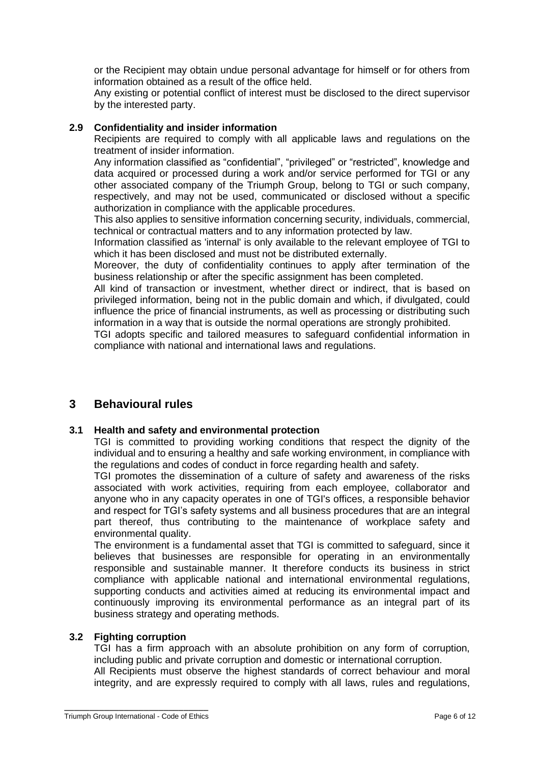or the Recipient may obtain undue personal advantage for himself or for others from information obtained as a result of the office held.

Any existing or potential conflict of interest must be disclosed to the direct supervisor by the interested party.

## **2.9 Confidentiality and insider information**

Recipients are required to comply with all applicable laws and regulations on the treatment of insider information.

Any information classified as "confidential", "privileged" or "restricted", knowledge and data acquired or processed during a work and/or service performed for TGI or any other associated company of the Triumph Group, belong to TGI or such company, respectively, and may not be used, communicated or disclosed without a specific authorization in compliance with the applicable procedures.

This also applies to sensitive information concerning security, individuals, commercial, technical or contractual matters and to any information protected by law.

Information classified as 'internal' is only available to the relevant employee of TGI to which it has been disclosed and must not be distributed externally.

Moreover, the duty of confidentiality continues to apply after termination of the business relationship or after the specific assignment has been completed.

All kind of transaction or investment, whether direct or indirect, that is based on privileged information, being not in the public domain and which, if divulgated, could influence the price of financial instruments, as well as processing or distributing such information in a way that is outside the normal operations are strongly prohibited.

TGI adopts specific and tailored measures to safeguard confidential information in compliance with national and international laws and regulations.

# **3 Behavioural rules**

## **3.1 Health and safety and environmental protection**

TGI is committed to providing working conditions that respect the dignity of the individual and to ensuring a healthy and safe working environment, in compliance with the regulations and codes of conduct in force regarding health and safety.

TGI promotes the dissemination of a culture of safety and awareness of the risks associated with work activities, requiring from each employee, collaborator and anyone who in any capacity operates in one of TGI's offices, a responsible behavior and respect for TGI's safety systems and all business procedures that are an integral part thereof, thus contributing to the maintenance of workplace safety and environmental quality.

The environment is a fundamental asset that TGI is committed to safeguard, since it believes that businesses are responsible for operating in an environmentally responsible and sustainable manner. It therefore conducts its business in strict compliance with applicable national and international environmental regulations, supporting conducts and activities aimed at reducing its environmental impact and continuously improving its environmental performance as an integral part of its business strategy and operating methods.

#### **3.2 Fighting corruption**

TGI has a firm approach with an absolute prohibition on any form of corruption, including public and private corruption and domestic or international corruption. All Recipients must observe the highest standards of correct behaviour and moral integrity, and are expressly required to comply with all laws, rules and regulations,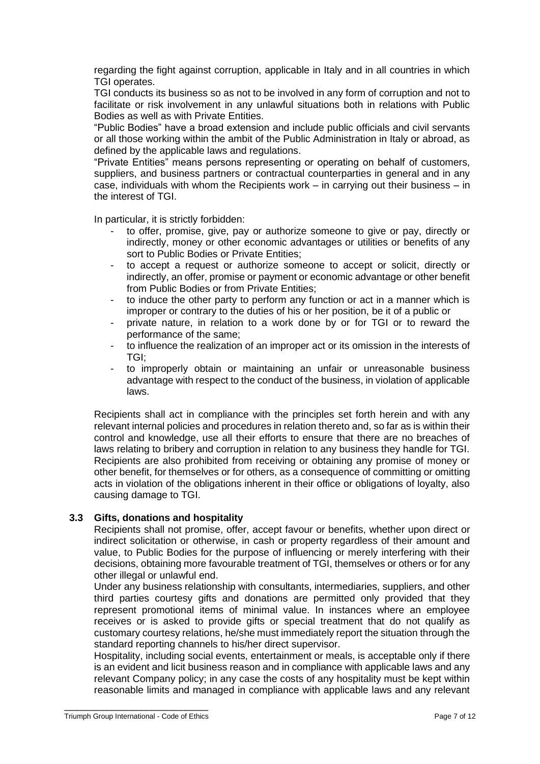regarding the fight against corruption, applicable in Italy and in all countries in which TGI operates.

TGI conducts its business so as not to be involved in any form of corruption and not to facilitate or risk involvement in any unlawful situations both in relations with Public Bodies as well as with Private Entities.

"Public Bodies" have a broad extension and include public officials and civil servants or all those working within the ambit of the Public Administration in Italy or abroad, as defined by the applicable laws and regulations.

"Private Entities" means persons representing or operating on behalf of customers, suppliers, and business partners or contractual counterparties in general and in any case, individuals with whom the Recipients work – in carrying out their business – in the interest of TGI.

In particular, it is strictly forbidden:

- to offer, promise, give, pay or authorize someone to give or pay, directly or indirectly, money or other economic advantages or utilities or benefits of any sort to Public Bodies or Private Entities;
- to accept a request or authorize someone to accept or solicit, directly or indirectly, an offer, promise or payment or economic advantage or other benefit from Public Bodies or from Private Entities;
- to induce the other party to perform any function or act in a manner which is improper or contrary to the duties of his or her position, be it of a public or
- private nature, in relation to a work done by or for TGI or to reward the performance of the same;
- to influence the realization of an improper act or its omission in the interests of TGI;
- to improperly obtain or maintaining an unfair or unreasonable business advantage with respect to the conduct of the business, in violation of applicable laws.

Recipients shall act in compliance with the principles set forth herein and with any relevant internal policies and procedures in relation thereto and, so far as is within their control and knowledge, use all their efforts to ensure that there are no breaches of laws relating to bribery and corruption in relation to any business they handle for TGI. Recipients are also prohibited from receiving or obtaining any promise of money or other benefit, for themselves or for others, as a consequence of committing or omitting acts in violation of the obligations inherent in their office or obligations of loyalty, also causing damage to TGI.

## **3.3 Gifts, donations and hospitality**

Recipients shall not promise, offer, accept favour or benefits, whether upon direct or indirect solicitation or otherwise, in cash or property regardless of their amount and value, to Public Bodies for the purpose of influencing or merely interfering with their decisions, obtaining more favourable treatment of TGI, themselves or others or for any other illegal or unlawful end.

Under any business relationship with consultants, intermediaries, suppliers, and other third parties courtesy gifts and donations are permitted only provided that they represent promotional items of minimal value. In instances where an employee receives or is asked to provide gifts or special treatment that do not qualify as customary courtesy relations, he/she must immediately report the situation through the standard reporting channels to his/her direct supervisor.

Hospitality, including social events, entertainment or meals, is acceptable only if there is an evident and licit business reason and in compliance with applicable laws and any relevant Company policy; in any case the costs of any hospitality must be kept within reasonable limits and managed in compliance with applicable laws and any relevant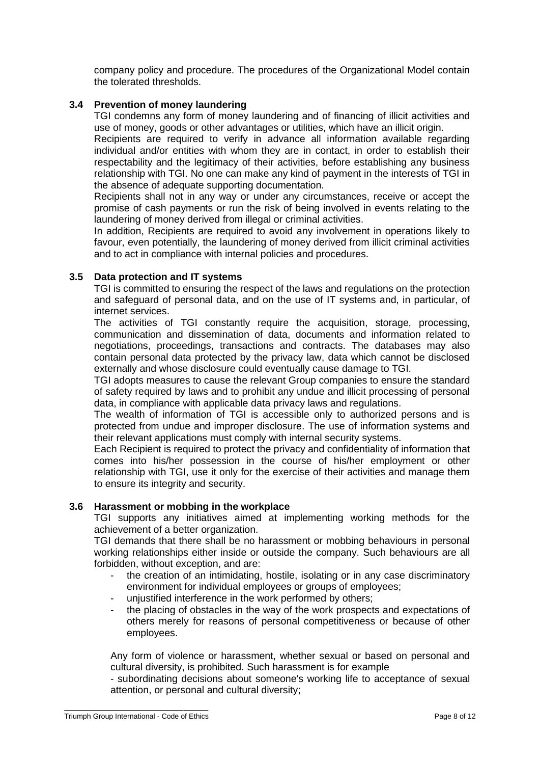company policy and procedure. The procedures of the Organizational Model contain the tolerated thresholds.

## **3.4 Prevention of money laundering**

TGI condemns any form of money laundering and of financing of illicit activities and use of money, goods or other advantages or utilities, which have an illicit origin.

Recipients are required to verify in advance all information available regarding individual and/or entities with whom they are in contact, in order to establish their respectability and the legitimacy of their activities, before establishing any business relationship with TGI. No one can make any kind of payment in the interests of TGI in the absence of adequate supporting documentation.

Recipients shall not in any way or under any circumstances, receive or accept the promise of cash payments or run the risk of being involved in events relating to the laundering of money derived from illegal or criminal activities.

In addition, Recipients are required to avoid any involvement in operations likely to favour, even potentially, the laundering of money derived from illicit criminal activities and to act in compliance with internal policies and procedures.

### **3.5 Data protection and IT systems**

TGI is committed to ensuring the respect of the laws and regulations on the protection and safeguard of personal data, and on the use of IT systems and, in particular, of internet services.

The activities of TGI constantly require the acquisition, storage, processing, communication and dissemination of data, documents and information related to negotiations, proceedings, transactions and contracts. The databases may also contain personal data protected by the privacy law, data which cannot be disclosed externally and whose disclosure could eventually cause damage to TGI.

TGI adopts measures to cause the relevant Group companies to ensure the standard of safety required by laws and to prohibit any undue and illicit processing of personal data, in compliance with applicable data privacy laws and regulations.

The wealth of information of TGI is accessible only to authorized persons and is protected from undue and improper disclosure. The use of information systems and their relevant applications must comply with internal security systems.

Each Recipient is required to protect the privacy and confidentiality of information that comes into his/her possession in the course of his/her employment or other relationship with TGI, use it only for the exercise of their activities and manage them to ensure its integrity and security.

#### **3.6 Harassment or mobbing in the workplace**

TGI supports any initiatives aimed at implementing working methods for the achievement of a better organization.

TGI demands that there shall be no harassment or mobbing behaviours in personal working relationships either inside or outside the company. Such behaviours are all forbidden, without exception, and are:

- the creation of an intimidating, hostile, isolating or in any case discriminatory environment for individual employees or groups of employees;
- unjustified interference in the work performed by others;
- the placing of obstacles in the way of the work prospects and expectations of others merely for reasons of personal competitiveness or because of other employees.

Any form of violence or harassment, whether sexual or based on personal and cultural diversity, is prohibited. Such harassment is for example

- subordinating decisions about someone's working life to acceptance of sexual attention, or personal and cultural diversity;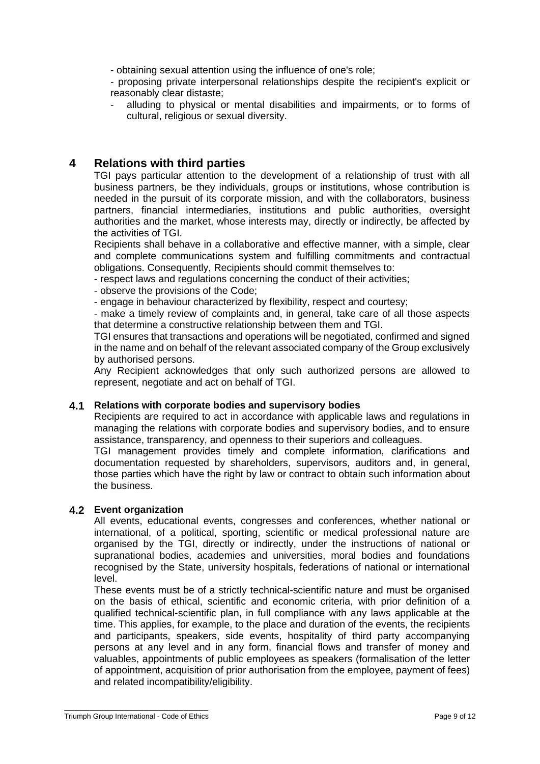- obtaining sexual attention using the influence of one's role;

- proposing private interpersonal relationships despite the recipient's explicit or reasonably clear distaste;

alluding to physical or mental disabilities and impairments, or to forms of cultural, religious or sexual diversity.

# **4 Relations with third parties**

TGI pays particular attention to the development of a relationship of trust with all business partners, be they individuals, groups or institutions, whose contribution is needed in the pursuit of its corporate mission, and with the collaborators, business partners, financial intermediaries, institutions and public authorities, oversight authorities and the market, whose interests may, directly or indirectly, be affected by the activities of TGI.

Recipients shall behave in a collaborative and effective manner, with a simple, clear and complete communications system and fulfilling commitments and contractual obligations. Consequently, Recipients should commit themselves to:

- respect laws and regulations concerning the conduct of their activities;

- observe the provisions of the Code;

- engage in behaviour characterized by flexibility, respect and courtesy;

- make a timely review of complaints and, in general, take care of all those aspects that determine a constructive relationship between them and TGI.

TGI ensures that transactions and operations will be negotiated, confirmed and signed in the name and on behalf of the relevant associated company of the Group exclusively by authorised persons.

Any Recipient acknowledges that only such authorized persons are allowed to represent, negotiate and act on behalf of TGI.

## **4.1 Relations with corporate bodies and supervisory bodies**

Recipients are required to act in accordance with applicable laws and regulations in managing the relations with corporate bodies and supervisory bodies, and to ensure assistance, transparency, and openness to their superiors and colleagues.

TGI management provides timely and complete information, clarifications and documentation requested by shareholders, supervisors, auditors and, in general, those parties which have the right by law or contract to obtain such information about the business.

## **4.2 Event organization**

All events, educational events, congresses and conferences, whether national or international, of a political, sporting, scientific or medical professional nature are organised by the TGI, directly or indirectly, under the instructions of national or supranational bodies, academies and universities, moral bodies and foundations recognised by the State, university hospitals, federations of national or international level.

These events must be of a strictly technical-scientific nature and must be organised on the basis of ethical, scientific and economic criteria, with prior definition of a qualified technical-scientific plan, in full compliance with any laws applicable at the time. This applies, for example, to the place and duration of the events, the recipients and participants, speakers, side events, hospitality of third party accompanying persons at any level and in any form, financial flows and transfer of money and valuables, appointments of public employees as speakers (formalisation of the letter of appointment, acquisition of prior authorisation from the employee, payment of fees) and related incompatibility/eligibility.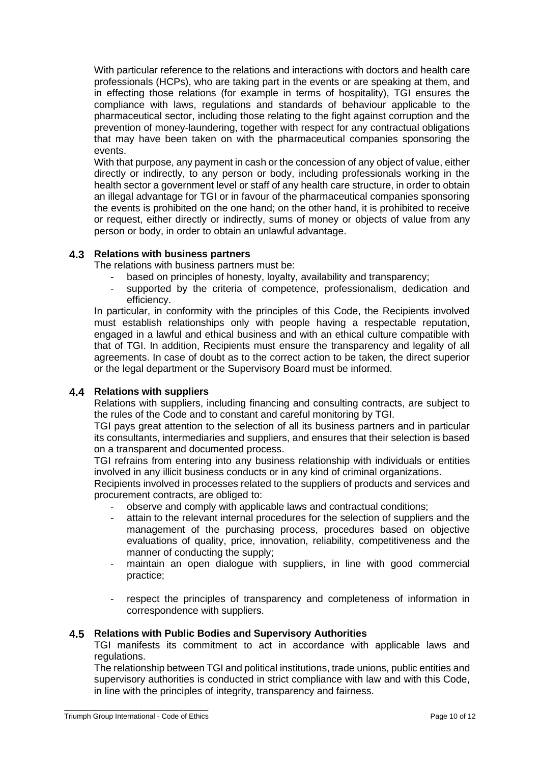With particular reference to the relations and interactions with doctors and health care professionals (HCPs), who are taking part in the events or are speaking at them, and in effecting those relations (for example in terms of hospitality), TGI ensures the compliance with laws, regulations and standards of behaviour applicable to the pharmaceutical sector, including those relating to the fight against corruption and the prevention of money-laundering, together with respect for any contractual obligations that may have been taken on with the pharmaceutical companies sponsoring the events.

With that purpose, any payment in cash or the concession of any object of value, either directly or indirectly, to any person or body, including professionals working in the health sector a government level or staff of any health care structure, in order to obtain an illegal advantage for TGI or in favour of the pharmaceutical companies sponsoring the events is prohibited on the one hand; on the other hand, it is prohibited to receive or request, either directly or indirectly, sums of money or objects of value from any person or body, in order to obtain an unlawful advantage.

## **4.3 Relations with business partners**

The relations with business partners must be:

- based on principles of honesty, loyalty, availability and transparency;
- supported by the criteria of competence, professionalism, dedication and efficiency.

In particular, in conformity with the principles of this Code, the Recipients involved must establish relationships only with people having a respectable reputation, engaged in a lawful and ethical business and with an ethical culture compatible with that of TGI. In addition, Recipients must ensure the transparency and legality of all agreements. In case of doubt as to the correct action to be taken, the direct superior or the legal department or the Supervisory Board must be informed.

## **4.4 Relations with suppliers**

Relations with suppliers, including financing and consulting contracts, are subject to the rules of the Code and to constant and careful monitoring by TGI.

TGI pays great attention to the selection of all its business partners and in particular its consultants, intermediaries and suppliers, and ensures that their selection is based on a transparent and documented process.

TGI refrains from entering into any business relationship with individuals or entities involved in any illicit business conducts or in any kind of criminal organizations.

Recipients involved in processes related to the suppliers of products and services and procurement contracts, are obliged to:

- observe and comply with applicable laws and contractual conditions;
- attain to the relevant internal procedures for the selection of suppliers and the management of the purchasing process, procedures based on objective evaluations of quality, price, innovation, reliability, competitiveness and the manner of conducting the supply;
- maintain an open dialogue with suppliers, in line with good commercial practice;
- respect the principles of transparency and completeness of information in correspondence with suppliers.

## **4.5 Relations with Public Bodies and Supervisory Authorities**

TGI manifests its commitment to act in accordance with applicable laws and regulations.

The relationship between TGI and political institutions, trade unions, public entities and supervisory authorities is conducted in strict compliance with law and with this Code, in line with the principles of integrity, transparency and fairness.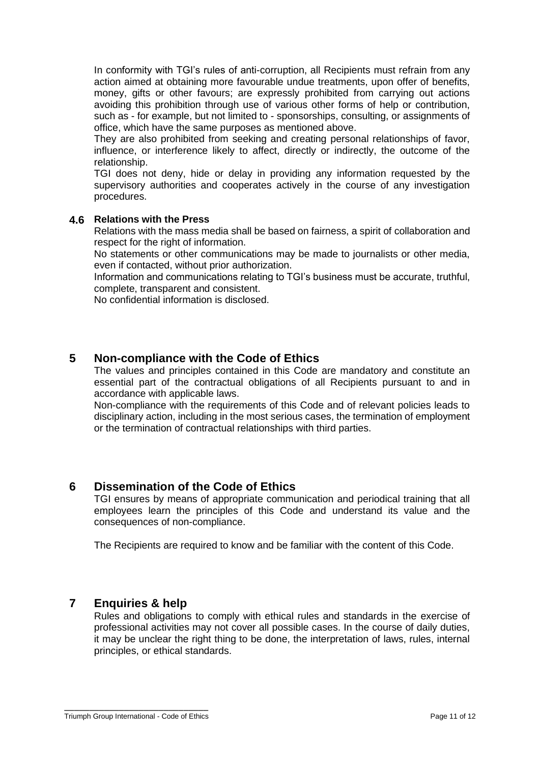In conformity with TGI's rules of anti-corruption, all Recipients must refrain from any action aimed at obtaining more favourable undue treatments, upon offer of benefits, money, gifts or other favours; are expressly prohibited from carrying out actions avoiding this prohibition through use of various other forms of help or contribution, such as - for example, but not limited to - sponsorships, consulting, or assignments of office, which have the same purposes as mentioned above.

They are also prohibited from seeking and creating personal relationships of favor, influence, or interference likely to affect, directly or indirectly, the outcome of the relationship.

TGI does not deny, hide or delay in providing any information requested by the supervisory authorities and cooperates actively in the course of any investigation procedures.

### **4.6 Relations with the Press**

Relations with the mass media shall be based on fairness, a spirit of collaboration and respect for the right of information.

No statements or other communications may be made to journalists or other media, even if contacted, without prior authorization.

Information and communications relating to TGI's business must be accurate, truthful, complete, transparent and consistent.

No confidential information is disclosed.

## **5 Non-compliance with the Code of Ethics**

The values and principles contained in this Code are mandatory and constitute an essential part of the contractual obligations of all Recipients pursuant to and in accordance with applicable laws.

Non-compliance with the requirements of this Code and of relevant policies leads to disciplinary action, including in the most serious cases, the termination of employment or the termination of contractual relationships with third parties.

## **6 Dissemination of the Code of Ethics**

TGI ensures by means of appropriate communication and periodical training that all employees learn the principles of this Code and understand its value and the consequences of non-compliance.

The Recipients are required to know and be familiar with the content of this Code.

## **7 Enquiries & help**

Rules and obligations to comply with ethical rules and standards in the exercise of professional activities may not cover all possible cases. In the course of daily duties, it may be unclear the right thing to be done, the interpretation of laws, rules, internal principles, or ethical standards.